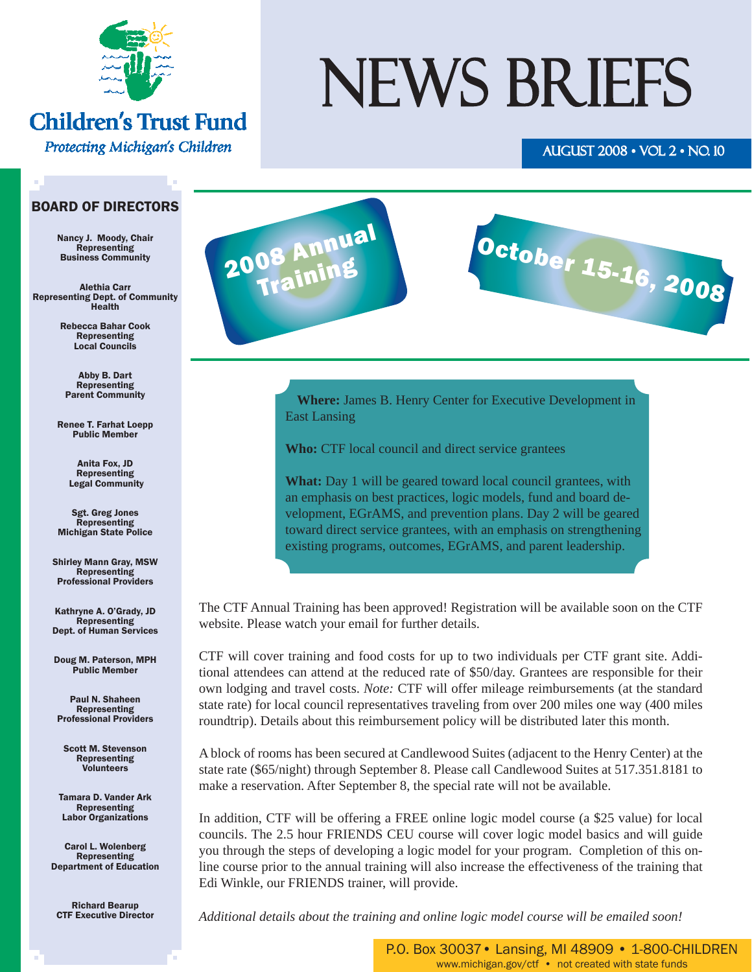

### **Children's Trust Fund**

Protecting Michigan's Children

# NEWS BRIEFS

### AUGUST 2008 • VOL 2 • NO. 10

#### BOARD OF DIRECTORS

Nancy J. Moody, Chair Representing Business Community

Alethia Carr Representing Dept. of Community Health

> Rebecca Bahar Cook Representing Local Councils

Abby B. Dart Representing Parent Community

Renee T. Farhat Loepp Public Member

> Anita Fox, JD Representing Legal Community

Sgt. Greg Jones Representing Michigan State Police

Shirley Mann Gray, MSW Representing Professional Providers

Kathryne A. O'Grady, JD Representing Dept. of Human Services

Doug M. Paterson, MPH Public Member

Paul N. Shaheen Representing Professional Providers

Scott M. Stevenson Representing Volunteers

Tamara D. Vander Ark Representing Labor Organizations

Carol L. Wolenberg Representing Department of Education

Richard Bearup CTF Executive Director



October 15-16, 2008

**Where:** [James B. Henry Center for Executive Development](http://www.bus.msu.edu/edc/home.cfm) in East Lansing

**Who:** CTF local council and direct service grantees

**What:** Day 1 will be geared toward local council grantees, with an emphasis on best practices, logic models, fund and board development, EGrAMS, and prevention plans. Day 2 will be geared toward direct service grantees, with an emphasis on strengthening existing programs, outcomes, EGrAMS, and parent leadership.

The CTF Annual Training has been approved! Registration will be available soon on the CTF website. Please watch your email for further details.

CTF will cover training and food costs for up to two individuals per CTF grant site. Additional attendees can attend at the reduced rate of \$50/day. Grantees are responsible for their own lodging and travel costs. *Note:* CTF will offer mileage reimbursements (at the standard state rate) for local council representatives traveling from over 200 miles one way (400 miles roundtrip). Details about this reimbursement policy will be distributed later this month.

A block of rooms has been secured at Candlewood Suites (adjacent to the Henry Center) at the state rate (\$65/night) through September 8. Please call Candlewood Suites at 517.351.8181 to make a reservation. After September 8, the special rate will not be available.

In addition, CTF will be offering a FREE online logic model course (a \$25 value) for local councils. The 2.5 hour FRIENDS CEU course will cover logic model basics and will guide you through the steps of developing a logic model for your program. Completion of this online course prior to the annual training will also increase the effectiveness of the training that Edi Winkle, our FRIENDS trainer, will provide.

*Additional details about the training and online logic model course will be emailed soon!*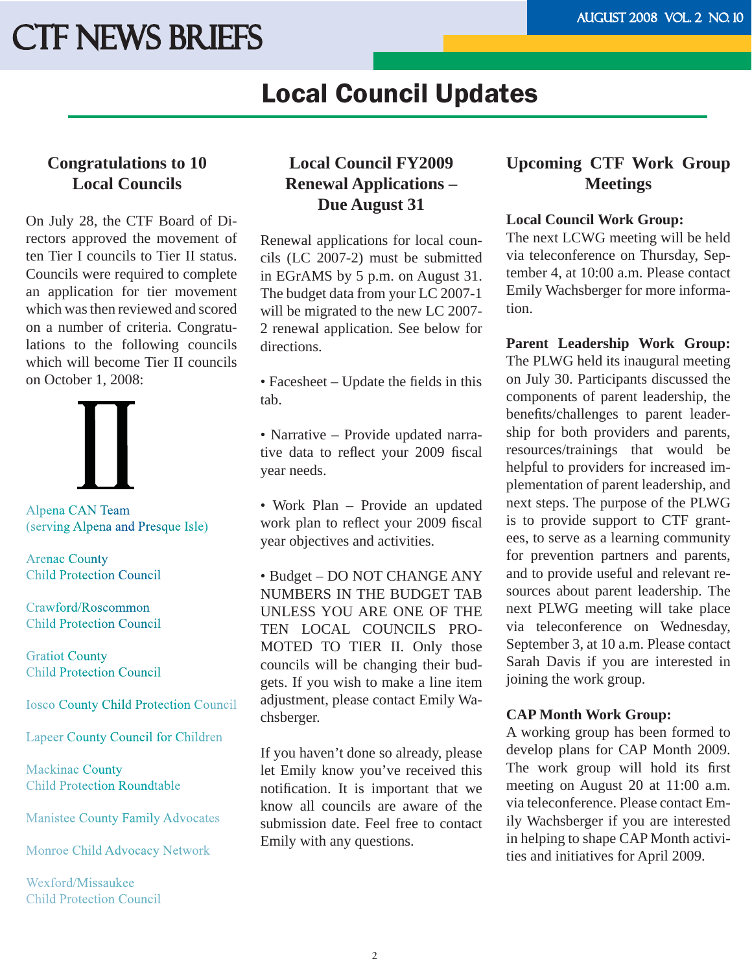### Local Council Updates

### **Congratulations to 10 Local Councils**

On July 28, the CTF Board of Directors approved the movement of ten Tier I councils to Tier II status. Councils were required to complete an application for tier movement which was then reviewed and scored on a number of criteria. Congratulations to the following councils which will become Tier II councils on October 1, 2008:



Alpena CAN Team (serving Alpena and Presque Isle)

**Arenac County Child Protection Council** 

Crawford/Roscommon **Child Protection Council** 

**Gratiot County Child Protection Council** 

**Iosco County Child Protection Council** 

**Lapeer County Council for Children** 

Mackinac County **Child Protection Roundtable** 

**Manistee County Family Advocates** 

Monroe Child Advocacy Network

Wexford/Missaukee **Child Protection Council** 

### **Local Council FY2009 Renewal Applications – Due August 31**

Renewal applications for local councils (LC 2007-2) must be submitted in EGrAMS by 5 p.m. on August 31. The budget data from your LC 2007-1 will be migrated to the new LC 2007- 2 renewal application. See below for directions.

• Facesheet  $-$  Update the fields in this tab.

• Narrative – Provide updated narrative data to reflect your 2009 fiscal year needs.

• Work Plan – Provide an updated work plan to reflect your 2009 fiscal year objectives and activities.

• Budget – DO NOT CHANGE ANY NUMBERS IN THE BUDGET TAB UNLESS YOU ARE ONE OF THE TEN LOCAL COUNCILS PRO-MOTED TO TIER II. Only those councils will be changing their budgets. If you wish to make a line item adjustment, please contact Emily Wachsberger.

If you haven't done so already, please let Emily know you've received this notification. It is important that we know all councils are aware of the submission date. Feel free to contact Emily with any questions.

### **Upcoming CTF Work Group Meetings**

#### **Local Council Work Group:**

The next LCWG meeting will be held via teleconference on Thursday, September 4, at 10:00 a.m. Please contact Emily Wachsberger for more information.

**Parent Leadership Work Group:** The PLWG held its inaugural meeting on July 30. Participants discussed the components of parent leadership, the benefits/challenges to parent leadership for both providers and parents, resources/trainings that would be helpful to providers for increased implementation of parent leadership, and next steps. The purpose of the PLWG is to provide support to CTF grantees, to serve as a learning community for prevention partners and parents, and to provide useful and relevant resources about parent leadership. The next PLWG meeting will take place via teleconference on Wednesday, September 3, at 10 a.m. Please contact Sarah Davis if you are interested in joining the work group.

#### **CAP Month Work Group:**

A working group has been formed to develop plans for CAP Month 2009. The work group will hold its first meeting on August 20 at 11:00 a.m. via teleconference. Please contact Emily Wachsberger if you are interested in helping to shape CAP Month activities and initiatives for April 2009.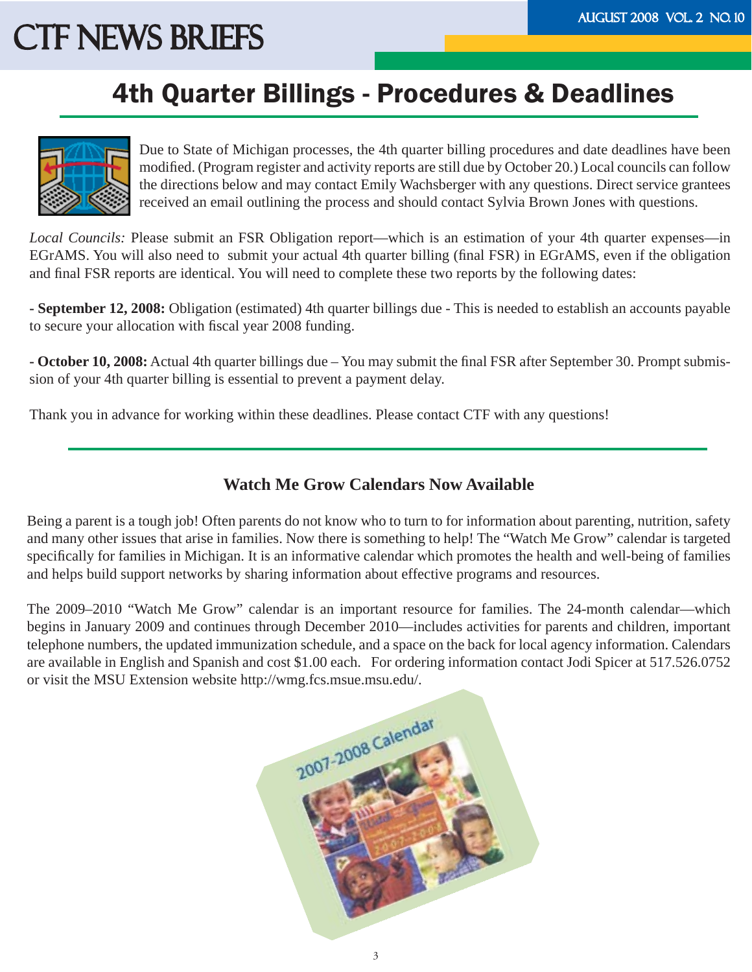### 4th Quarter Billings - Procedures & Deadlines



Due to State of Michigan processes, the 4th quarter billing procedures and date deadlines have been modified. (Program register and activity reports are still due by October 20.) Local councils can follow the directions below and may contact Emily Wachsberger with any questions. Direct service grantees received an email outlining the process and should contact Sylvia Brown Jones with questions.

*Local Councils:* Please submit an FSR Obligation report—which is an estimation of your 4th quarter expenses—in EGrAMS. You will also need to submit your actual 4th quarter billing (final FSR) in EGrAMS, even if the obligation and final FSR reports are identical. You will need to complete these two reports by the following dates:

**- September 12, 2008:** Obligation (estimated) 4th quarter billings due - This is needed to establish an accounts payable to secure your allocation with fiscal year 2008 funding.

**- October 10, 2008:** Actual 4th quarter billings due – You may submit the final FSR after September 30. Prompt submission of your 4th quarter billing is essential to prevent a payment delay.

Thank you in advance for working within these deadlines. Please contact CTF with any questions!

### **Watch Me Grow Calendars Now Available**

Being a parent is a tough job! Often parents do not know who to turn to for information about parenting, nutrition, safety and many other issues that arise in families. Now there is something to help! The "Watch Me Grow" calendar is targeted specifically for families in Michigan. It is an informative calendar which promotes the health and well-being of families and helps build support networks by sharing information about effective programs and resources.

The 2009–2010 "Watch Me Grow" calendar is an important resource for families. The 24-month calendar—which begins in January 2009 and continues through December 2010—includes activities for parents and children, important telephone numbers, the updated immunization schedule, and a space on the back for local agency information. Calendars are available in English and Spanish and cost \$1.00 each. For ordering information contact Jodi Spicer at 517.526.0752 or visit the MSU Extension website http://wmg.fcs.msue.msu.edu/.

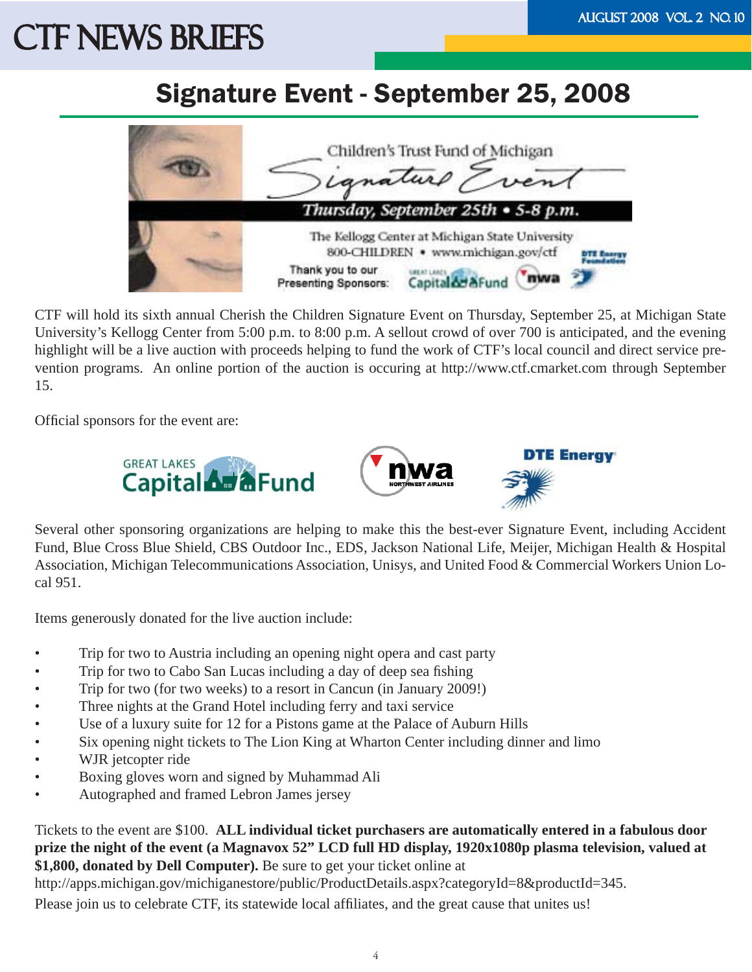### Signature Event - September 25, 2008



CTF will hold its sixth annual Cherish the Children Signature Event on Thursday, September 25, at Michigan State University's Kellogg Center from 5:00 p.m. to 8:00 p.m. A sellout crowd of over 700 is anticipated, and the evening highlight will be a live auction with proceeds helping to fund the work of CTF's local council and direct service prevention programs. An online portion of the auction is occuring at http://www.ctf.cmarket.com through September 15.

Official sponsors for the event are:



Several other sponsoring organizations are helping to make this the best-ever Signature Event, including Accident Fund, Blue Cross Blue Shield, CBS Outdoor Inc., EDS, Jackson National Life, Meijer, Michigan Health & Hospital Association, Michigan Telecommunications Association, Unisys, and United Food & Commercial Workers Union Local 951.

Items generously donated for the live auction include:

- Trip for two to Austria including an opening night opera and cast party
- Trip for two to Cabo San Lucas including a day of deep sea fishing
- Trip for two (for two weeks) to a resort in Cancun (in January 2009!)
- Three nights at the Grand Hotel including ferry and taxi service
- Use of a luxury suite for 12 for a Pistons game at the Palace of Auburn Hills
- Six opening night tickets to The Lion King at Wharton Center including dinner and limo
- WJR jetcopter ride
- Boxing gloves worn and signed by Muhammad Ali
- Autographed and framed Lebron James jersey

Tickets to the event are \$100. **ALL individual ticket purchasers are automatically entered in a fabulous door prize the night of the event (a Magnavox 52" LCD full HD display, 1920x1080p plasma television, valued at \$1,800, donated by Dell Computer).** Be sure to get your ticket online at

http://apps.michigan.gov/michiganestore/public/ProductDetails.aspx?categoryId=8&productId=345.

Please join us to celebrate CTF, its statewide local affiliates, and the great cause that unites us!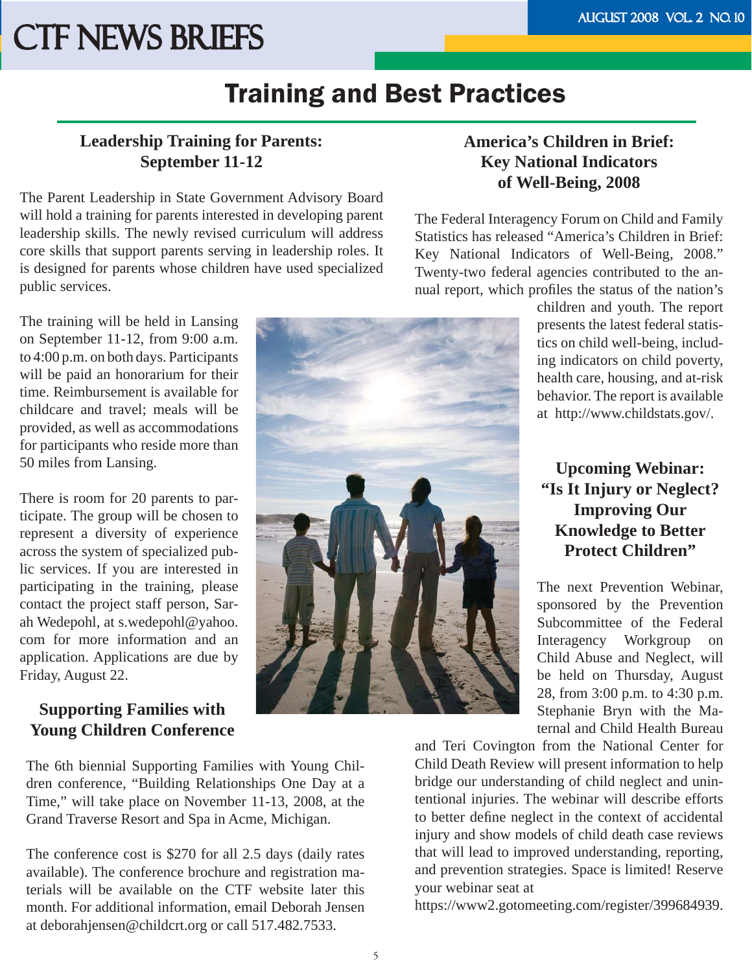### Training and Best Practices

### **Leadership Training for Parents: September 11-12**

The Parent Leadership in State Government Advisory Board will hold a training for parents interested in developing parent leadership skills. The newly revised curriculum will address core skills that support parents serving in leadership roles. It is designed for parents whose children have used specialized public services.

The training will be held in Lansing on September 11-12, from 9:00 a.m. to 4:00 p.m. on both days. Participants will be paid an honorarium for their time. Reimbursement is available for childcare and travel; meals will be provided, as well as accommodations for participants who reside more than 50 miles from Lansing.

There is room for 20 parents to participate. The group will be chosen to represent a diversity of experience across the system of specialized public services. If you are interested in participating in the training, please contact the project staff person, Sarah Wedepohl, at s.wedepohl@yahoo. com for more information and an application. Applications are due by Friday, August 22.

### **Supporting Families with Young Children Conference**

The 6th biennial Supporting Families with Young Children conference, "Building Relationships One Day at a Time," will take place on November 11-13, 2008, at the Grand Traverse Resort and Spa in Acme, Michigan.

The conference cost is \$270 for all 2.5 days (daily rates available). The conference brochure and registration materials will be available on the CTF website later this month. For additional information, email Deborah Jensen at deborahjensen@childcrt.org or call 517.482.7533.

### **America's Children in Brief: Key National Indicators of Well-Being, 2008**

The Federal Interagency Forum on Child and Family Statistics has released "America's Children in Brief: Key National Indicators of Well-Being, 2008." Twenty-two federal agencies contributed to the annual report, which profiles the status of the nation's



children and youth. The report presents the latest federal statistics on child well-being, including indicators on child poverty, health care, housing, and at-risk behavior. The report is available at http://www.childstats.gov/.

### **Upcoming Webinar: "Is It Injury or Neglect? Improving Our Knowledge to Better Protect Children"**

The next Prevention Webinar, sponsored by the Prevention Subcommittee of the Federal Interagency Workgroup on Child Abuse and Neglect, will be held on Thursday, August 28, from 3:00 p.m. to 4:30 p.m. Stephanie Bryn with the Maternal and Child Health Bureau

and Teri Covington from the National Center for Child Death Review will present information to help bridge our understanding of child neglect and unintentional injuries. The webinar will describe efforts to better define neglect in the context of accidental injury and show models of child death case reviews that will lead to improved understanding, reporting, and prevention strategies. Space is limited! Reserve your webinar seat at

https://www2.gotomeeting.com/register/399684939.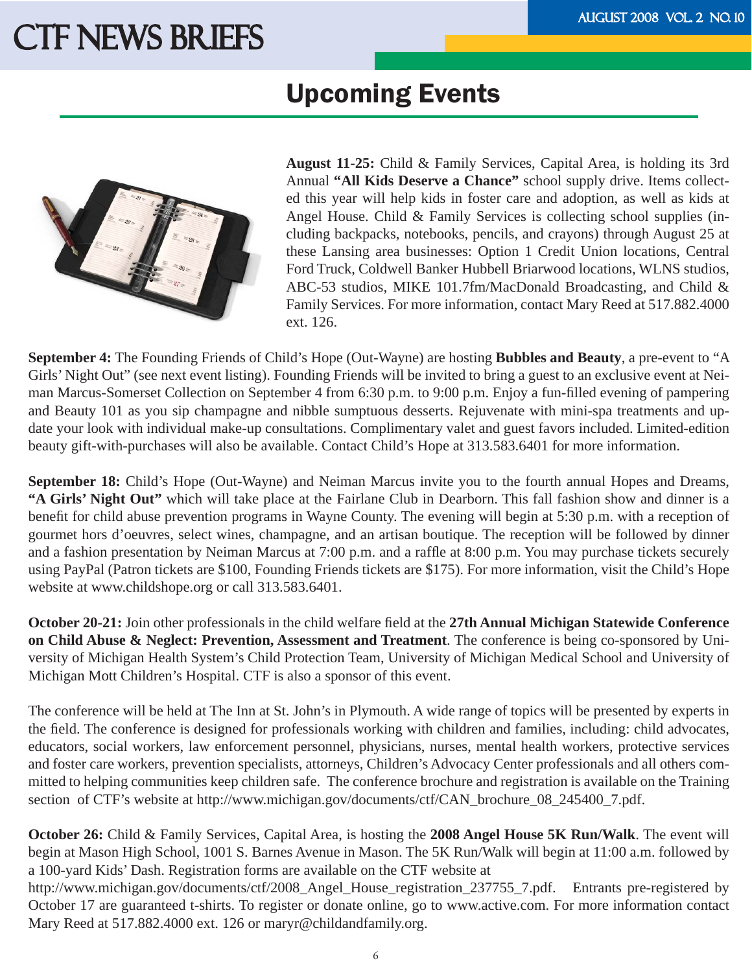### Upcoming Events



**August 11-25:** Child & Family Services, Capital Area, is holding its 3rd Annual **"All Kids Deserve a Chance"** school supply drive. Items collected this year will help kids in foster care and adoption, as well as kids at Angel House. Child & Family Services is collecting school supplies (including backpacks, notebooks, pencils, and crayons) through August 25 at these Lansing area businesses: Option 1 Credit Union locations, Central Ford Truck, Coldwell Banker Hubbell Briarwood locations, WLNS studios, ABC-53 studios, MIKE 101.7fm/MacDonald Broadcasting, and Child & Family Services. For more information, contact Mary Reed at 517.882.4000 ext. 126.

**September 4:** The Founding Friends of Child's Hope (Out-Wayne) are hosting **Bubbles and Beauty**, a pre-event to "A Girls' Night Out" (see next event listing). Founding Friends will be invited to bring a guest to an exclusive event at Neiman Marcus-Somerset Collection on September 4 from 6:30 p.m. to 9:00 p.m. Enjoy a fun-fi lled evening of pampering and Beauty 101 as you sip champagne and nibble sumptuous desserts. Rejuvenate with mini-spa treatments and update your look with individual make-up consultations. Complimentary valet and guest favors included. Limited-edition beauty gift-with-purchases will also be available. Contact Child's Hope at 313.583.6401 for more information.

**September 18:** Child's Hope (Out-Wayne) and Neiman Marcus invite you to the fourth annual Hopes and Dreams, **"A Girls' Night Out"** which will take place at the Fairlane Club in Dearborn. This fall fashion show and dinner is a benefit for child abuse prevention programs in Wayne County. The evening will begin at 5:30 p.m. with a reception of gourmet hors d'oeuvres, select wines, champagne, and an artisan boutique. The reception will be followed by dinner and a fashion presentation by Neiman Marcus at 7:00 p.m. and a raffle at 8:00 p.m. You may purchase tickets securely using PayPal (Patron tickets are \$100, Founding Friends tickets are \$175). For more information, visit the Child's Hope website at www.childshope.org or call 313.583.6401.

**October 20-21:** Join other professionals in the child welfare field at the 27th Annual Michigan Statewide Conference **on Child Abuse & Neglect: Prevention, Assessment and Treatment**. The conference is being co-sponsored by University of Michigan Health System's Child Protection Team, University of Michigan Medical School and University of Michigan Mott Children's Hospital. CTF is also a sponsor of this event.

The conference will be held at The Inn at St. John's in Plymouth. A wide range of topics will be presented by experts in the field. The conference is designed for professionals working with children and families, including: child advocates, educators, social workers, law enforcement personnel, physicians, nurses, mental health workers, protective services and foster care workers, prevention specialists, attorneys, Children's Advocacy Center professionals and all others committed to helping communities keep children safe. The conference brochure and registration is available on the Training section of CTF's website at http://www.michigan.gov/documents/ctf/CAN\_brochure\_08\_245400\_7.pdf.

**October 26:** Child & Family Services, Capital Area, is hosting the **2008 Angel House 5K Run/Walk**. The event will begin at Mason High School, 1001 S. Barnes Avenue in Mason. The 5K Run/Walk will begin at 11:00 a.m. followed by a 100-yard Kids' Dash. Registration forms are available on the CTF website at

http://www.michigan.gov/documents/ctf/2008\_Angel\_House\_registration\_237755\_7.pdf. Entrants pre-registered by October 17 are guaranteed t-shirts. To register or donate online, go to www.active.com. For more information contact Mary Reed at 517.882.4000 ext. 126 or maryr@childandfamily.org.